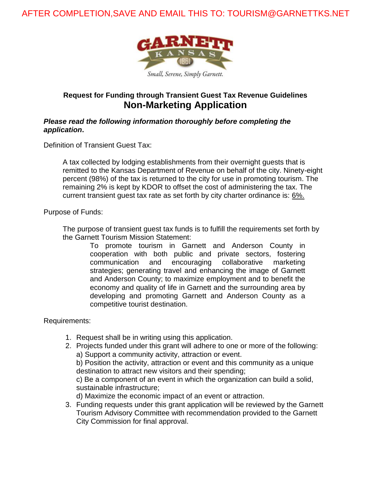# AFTER COMPLETION,SAVE AND EMAIL THIS TO: TOURISM@GARNETTKS.NET



## **Request for Funding through Transient Guest Tax Revenue Guidelines Non-Marketing Application**

#### *Please read the following information thoroughly before completing the application***.**

Definition of Transient Guest Tax:

A tax collected by lodging establishments from their overnight guests that is remitted to the Kansas Department of Revenue on behalf of the city. Ninety-eight percent (98%) of the tax is returned to the city for use in promoting tourism. The remaining 2% is kept by KDOR to offset the cost of administering the tax. The current transient guest tax rate as set forth by city charter ordinance is: 6%.

Purpose of Funds:

The purpose of transient guest tax funds is to fulfill the requirements set forth by the Garnett Tourism Mission Statement:

> To promote tourism in Garnett and Anderson County in cooperation with both public and private sectors, fostering communication and encouraging collaborative marketing strategies; generating travel and enhancing the image of Garnett and Anderson County; to maximize employment and to benefit the economy and quality of life in Garnett and the surrounding area by developing and promoting Garnett and Anderson County as a competitive tourist destination.

Requirements:

- 1. Request shall be in writing using this application.
- 2. Projects funded under this grant will adhere to one or more of the following: a) Support a community activity, attraction or event. b) Position the activity, attraction or event and this community as a unique destination to attract new visitors and their spending; c) Be a component of an event in which the organization can build a solid, sustainable infrastructure; d) Maximize the economic impact of an event or attraction.
- 3. Funding requests under this grant application will be reviewed by the Garnett Tourism Advisory Committee with recommendation provided to the Garnett City Commission for final approval.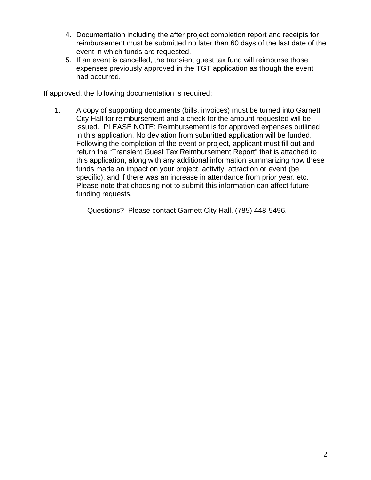- 4. Documentation including the after project completion report and receipts for reimbursement must be submitted no later than 60 days of the last date of the event in which funds are requested.
- 5. If an event is cancelled, the transient guest tax fund will reimburse those expenses previously approved in the TGT application as though the event had occurred.

If approved, the following documentation is required:

1. A copy of supporting documents (bills, invoices) must be turned into Garnett City Hall for reimbursement and a check for the amount requested will be issued. PLEASE NOTE: Reimbursement is for approved expenses outlined in this application. No deviation from submitted application will be funded. Following the completion of the event or project, applicant must fill out and return the "Transient Guest Tax Reimbursement Report" that is attached to this application, along with any additional information summarizing how these funds made an impact on your project, activity, attraction or event (be specific), and if there was an increase in attendance from prior year, etc. Please note that choosing not to submit this information can affect future funding requests.

Questions? Please contact Garnett City Hall, (785) 448-5496.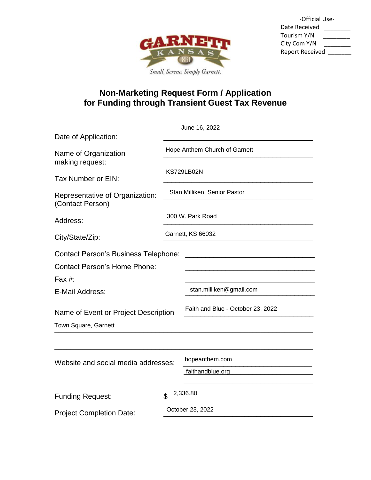

| -Official Use-         |  |
|------------------------|--|
| Date Received          |  |
| Tourism Y/N            |  |
| City Com Y/N           |  |
| <b>Report Received</b> |  |
|                        |  |

# **Non-Marketing Request Form / Application for Funding through Transient Guest Tax Revenue**

|                                                     |                                                                                                        | June 16, 2022                     |  |  |  |
|-----------------------------------------------------|--------------------------------------------------------------------------------------------------------|-----------------------------------|--|--|--|
| Date of Application:                                |                                                                                                        |                                   |  |  |  |
| Name of Organization<br>making request:             | Hope Anthem Church of Garnett<br><b>KS729LB02N</b><br>Stan Milliken, Senior Pastor<br>300 W. Park Road |                                   |  |  |  |
| Tax Number or EIN:                                  |                                                                                                        |                                   |  |  |  |
| Representative of Organization:<br>(Contact Person) |                                                                                                        |                                   |  |  |  |
| Address:                                            |                                                                                                        |                                   |  |  |  |
| City/State/Zip:                                     | Garnett, KS 66032                                                                                      |                                   |  |  |  |
| <b>Contact Person's Business Telephone:</b>         |                                                                                                        |                                   |  |  |  |
| <b>Contact Person's Home Phone:</b>                 |                                                                                                        |                                   |  |  |  |
| Fax #:                                              |                                                                                                        |                                   |  |  |  |
| E-Mail Address:                                     |                                                                                                        | stan.milliken@gmail.com           |  |  |  |
| Name of Event or Project Description                |                                                                                                        | Faith and Blue - October 23, 2022 |  |  |  |
| Town Square, Garnett                                |                                                                                                        |                                   |  |  |  |
|                                                     |                                                                                                        |                                   |  |  |  |
| Website and social media addresses:                 |                                                                                                        | hopeanthem.com                    |  |  |  |
|                                                     |                                                                                                        | faithandblue.org                  |  |  |  |
| <b>Funding Request:</b>                             | \$                                                                                                     | 2,336.80                          |  |  |  |
| <b>Project Completion Date:</b>                     | October 23, 2022                                                                                       |                                   |  |  |  |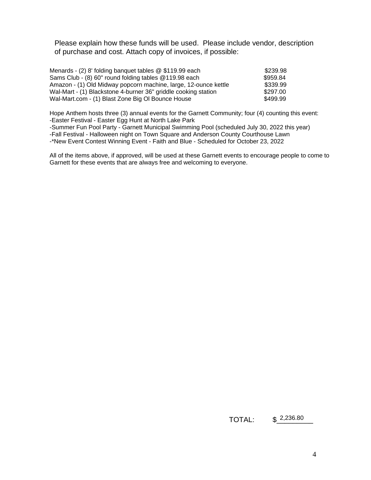Please explain how these funds will be used. Please include vendor, description of purchase and cost. Attach copy of invoices, if possible:

| Menards - (2) 8' folding banquet tables @ \$119.99 each         | \$239.98 |
|-----------------------------------------------------------------|----------|
| Sams Club - (8) 60" round folding tables @119.98 each           | \$959.84 |
| Amazon - (1) Old Midway popcorn machine, large, 12-ounce kettle | \$339.99 |
| Wal-Mart - (1) Blackstone 4-burner 36" griddle cooking station  | \$297.00 |
| Wal-Mart.com - (1) Blast Zone Big OI Bounce House               | \$499.99 |

Hope Anthem hosts three (3) annual events for the Garnett Community; four (4) counting this event: -Easter Festival - Easter Egg Hunt at North Lake Park

-Summer Fun Pool Party - Garnett Municipal Swimming Pool (scheduled July 30, 2022 this year)

-Fall Festival - Halloween night on Town Square and Anderson County Courthouse Lawn

-\*New Event Contest Winning Event - Faith and Blue - Scheduled for October 23, 2022

All of the items above, if approved, will be used at these Garnett events to encourage people to come to Garnett for these events that are always free and welcoming to everyone.

#### TOTAL: \$\_\_\_\_\_\_\_\_\_ \$2,236.80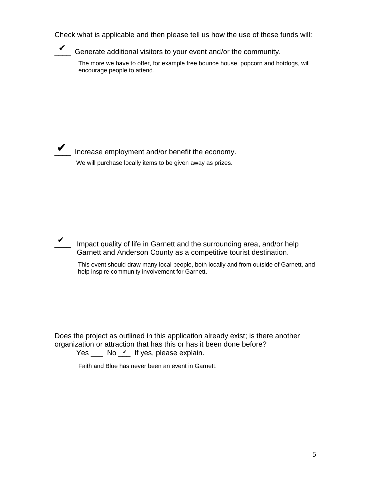Check what is applicable and then please tell us how the use of these funds will:

Generate additional visitors to your event and/or the community.

The more we have to offer, for example free bounce house, popcorn and hotdogs, will encourage people to attend.



Increase employment and/or benefit the economy. We will purchase locally items to be given away as prizes.

Impact quality of life in Garnett and the surrounding area, and/or help Garnett and Anderson County as a competitive tourist destination. ✔

This event should draw many local people, both locally and from outside of Garnett, and help inspire community involvement for Garnett.

Does the project as outlined in this application already exist; is there another organization or attraction that has this or has it been done before?

Yes  $\_\_\_$  No  $\_\_$  If yes, please explain.

Faith and Blue has never been an event in Garnett.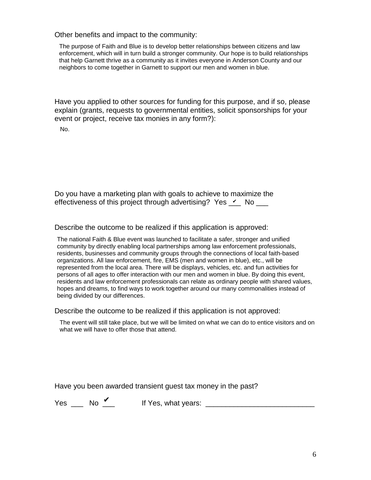Other benefits and impact to the community:

The purpose of Faith and Blue is to develop better relationships between citizens and law enforcement, which will in turn build a stronger community. Our hope is to build relationships that help Garnett thrive as a community as it invites everyone in Anderson County and our neighbors to come together in Garnett to support our men and women in blue.

Have you applied to other sources for funding for this purpose, and if so, please explain (grants, requests to governmental entities, solicit sponsorships for your event or project, receive tax monies in any form?):

No.

Do you have a marketing plan with goals to achieve to maximize the effectiveness of this project through advertising? Yes  $\angle$  No  $\equiv$ 

Describe the outcome to be realized if this application is approved:

The national Faith & Blue event was launched to facilitate a safer, stronger and unified community by directly enabling local partnerships among law enforcement professionals, residents, businesses and community groups through the connections of local faith-based organizations. All law enforcement, fire, EMS (men and women in blue), etc., will be represented from the local area. There will be displays, vehicles, etc. and fun activities for persons of all ages to offer interaction with our men and women in blue. By doing this event, residents and law enforcement professionals can relate as ordinary people with shared values, hopes and dreams, to find ways to work together around our many commonalities instead of being divided by our differences.

Describe the outcome to be realized if this application is not approved:

The event will still take place, but we will be limited on what we can do to entice visitors and on what we will have to offer those that attend.

Have you been awarded transient guest tax money in the past?

 $Yes$  No  $V$ 

If Yes, what years:  $\frac{1}{\sqrt{1-\frac{1}{2}}}\left\vert \frac{1}{\sqrt{1-\frac{1}{2}}}\right\vert$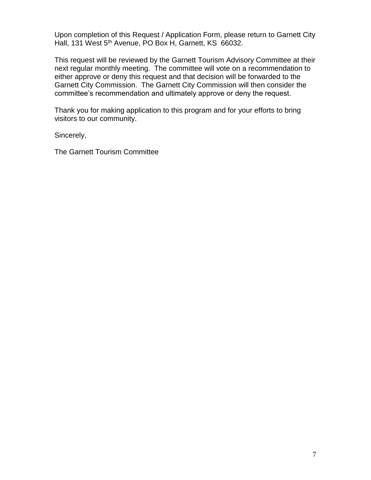Upon completion of this Request / Application Form, please return to Garnett City Hall, 131 West 5<sup>th</sup> Avenue, PO Box H, Garnett, KS 66032.

This request will be reviewed by the Garnett Tourism Advisory Committee at their next regular monthly meeting. The committee will vote on a recommendation to either approve or deny this request and that decision will be forwarded to the Garnett City Commission. The Garnett City Commission will then consider the committee's recommendation and ultimately approve or deny the request.

Thank you for making application to this program and for your efforts to bring visitors to our community.

Sincerely,

The Garnett Tourism Committee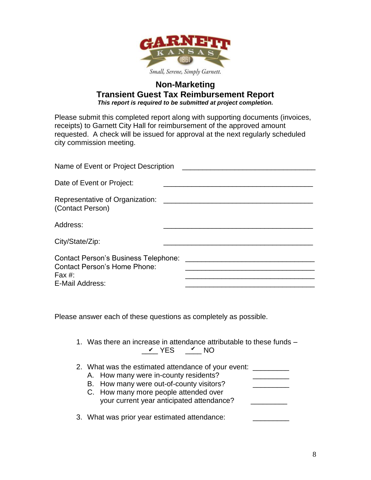

### **Non-Marketing Transient Guest Tax Reimbursement Report** *This report is required to be submitted at project completion.*

Please submit this completed report along with supporting documents (invoices, receipts) to Garnett City Hall for reimbursement of the approved amount requested. A check will be issued for approval at the next regularly scheduled city commission meeting.

| Name of Event or Project Description                                                                     |  |  |
|----------------------------------------------------------------------------------------------------------|--|--|
| Date of Event or Project:                                                                                |  |  |
| Representative of Organization:<br>(Contact Person)                                                      |  |  |
| Address:                                                                                                 |  |  |
| City/State/Zip:                                                                                          |  |  |
| Contact Person's Business Telephone:<br><b>Contact Person's Home Phone:</b><br>Fax #:<br>E-Mail Address: |  |  |

Please answer each of these questions as completely as possible.

- 1. Was there an increase in attendance attributable to these funds  $\frac{\nu}{\sqrt{2}}$  YES  $\frac{\nu}{\sqrt{2}}$  NO
- 2. What was the estimated attendance of your event:
	- A. How many were in-county residents? B. How many were out-of-county visitors? C. How many more people attended over your current year anticipated attendance?
- 3. What was prior year estimated attendance: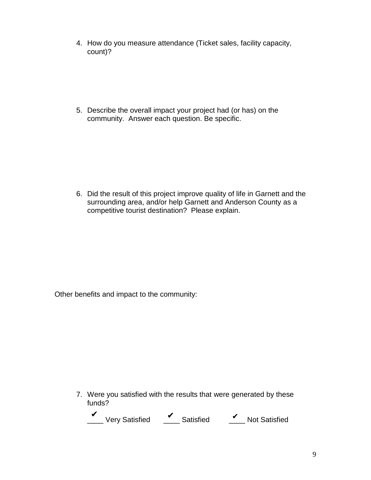4. How do you measure attendance (Ticket sales, facility capacity, count)?

5. Describe the overall impact your project had (or has) on the community. Answer each question. Be specific.

6. Did the result of this project improve quality of life in Garnett and the surrounding area, and/or help Garnett and Anderson County as a competitive tourist destination? Please explain.

Other benefits and impact to the community:

7. Were you satisfied with the results that were generated by these funds?

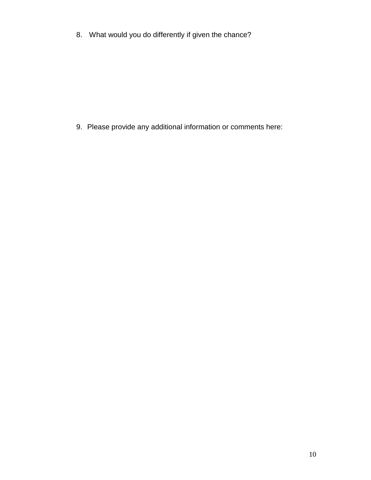8. What would you do differently if given the chance?

9. Please provide any additional information or comments here: